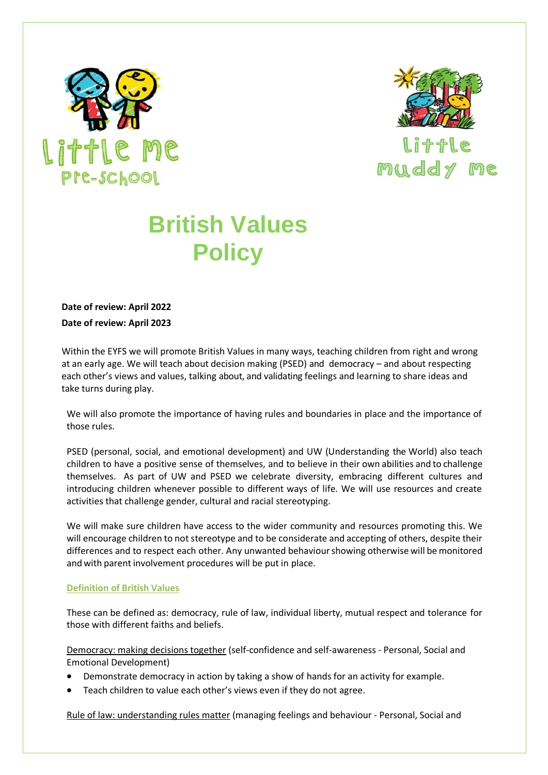



Li + + 1 muddy me

## **British Values Policy**

**Date of review: April 2022 Date of review: April 2023**

Within the EYFS we will promote British Values in many ways, teaching children from right and wrong at an early age. We will teach about decision making (PSED) and democracy – and about respecting each other's views and values, talking about, and validating feelings and learning to share ideas and take turns during play.

We will also promote the importance of having rules and boundaries in place and the importance of those rules.

PSED (personal, social, and emotional development) and UW (Understanding the World) also teach children to have a positive sense of themselves, and to believe in their own abilities and to challenge themselves. As part of UW and PSED we celebrate diversity, embracing different cultures and introducing children whenever possible to different ways of life. We will use resources and create activities that challenge gender, cultural and racial stereotyping.

We will make sure children have access to the wider community and resources promoting this. We will encourage children to not stereotype and to be considerate and accepting of others, despite their differences and to respect each other. Any unwanted behaviour showing otherwise will be monitored and with parent involvement procedures will be put in place.

## **Definition of British Values**

These can be defined as: democracy, rule of law, individual liberty, mutual respect and tolerance for those with different faiths and beliefs.

Democracy: making decisions together (self-confidence and self-awareness - Personal, Social and Emotional Development)

- Demonstrate democracy in action by taking a show of hands for an activity for example.
- Teach children to value each other's views even if they do not agree.

Rule of law: understanding rules matter (managing feelings and behaviour - Personal, Social and